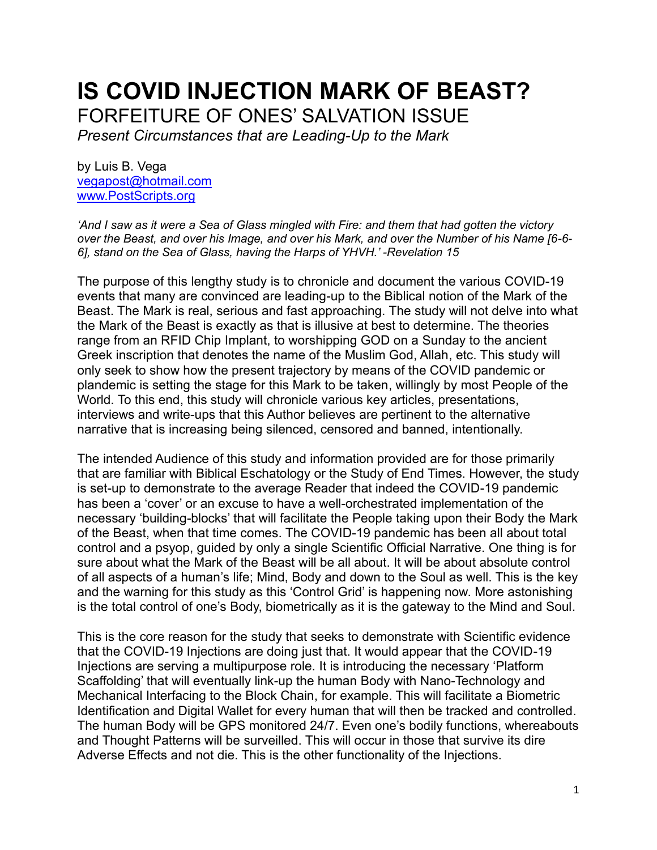# **IS COVID INJECTION MARK OF BEAST?** FORFEITURE OF ONES' SALVATION ISSUE

*Present Circumstances that are Leading-Up to the Mark*

by Luis B. Vega [vegapost@hotmail.com](mailto:vegapost@hotmail.com) [www.PostScripts.org](http://www.postscripts.org/)

*'And I saw as it were a Sea of Glass mingled with Fire: and them that had gotten the victory over the Beast, and over his Image, and over his Mark, and over the Number of his Name [6-6- 6], stand on the Sea of Glass, having the Harps of YHVH.' -Revelation 15*

The purpose of this lengthy study is to chronicle and document the various COVID-19 events that many are convinced are leading-up to the Biblical notion of the Mark of the Beast. The Mark is real, serious and fast approaching. The study will not delve into what the Mark of the Beast is exactly as that is illusive at best to determine. The theories range from an RFID Chip Implant, to worshipping GOD on a Sunday to the ancient Greek inscription that denotes the name of the Muslim God, Allah, etc. This study will only seek to show how the present trajectory by means of the COVID pandemic or plandemic is setting the stage for this Mark to be taken, willingly by most People of the World. To this end, this study will chronicle various key articles, presentations, interviews and write-ups that this Author believes are pertinent to the alternative narrative that is increasing being silenced, censored and banned, intentionally.

The intended Audience of this study and information provided are for those primarily that are familiar with Biblical Eschatology or the Study of End Times. However, the study is set-up to demonstrate to the average Reader that indeed the COVID-19 pandemic has been a 'cover' or an excuse to have a well-orchestrated implementation of the necessary 'building-blocks' that will facilitate the People taking upon their Body the Mark of the Beast, when that time comes. The COVID-19 pandemic has been all about total control and a psyop, guided by only a single Scientific Official Narrative. One thing is for sure about what the Mark of the Beast will be all about. It will be about absolute control of all aspects of a human's life; Mind, Body and down to the Soul as well. This is the key and the warning for this study as this 'Control Grid' is happening now. More astonishing is the total control of one's Body, biometrically as it is the gateway to the Mind and Soul.

This is the core reason for the study that seeks to demonstrate with Scientific evidence that the COVID-19 Injections are doing just that. It would appear that the COVID-19 Injections are serving a multipurpose role. It is introducing the necessary 'Platform Scaffolding' that will eventually link-up the human Body with Nano-Technology and Mechanical Interfacing to the Block Chain, for example. This will facilitate a Biometric Identification and Digital Wallet for every human that will then be tracked and controlled. The human Body will be GPS monitored 24/7. Even one's bodily functions, whereabouts and Thought Patterns will be surveilled. This will occur in those that survive its dire Adverse Effects and not die. This is the other functionality of the Injections.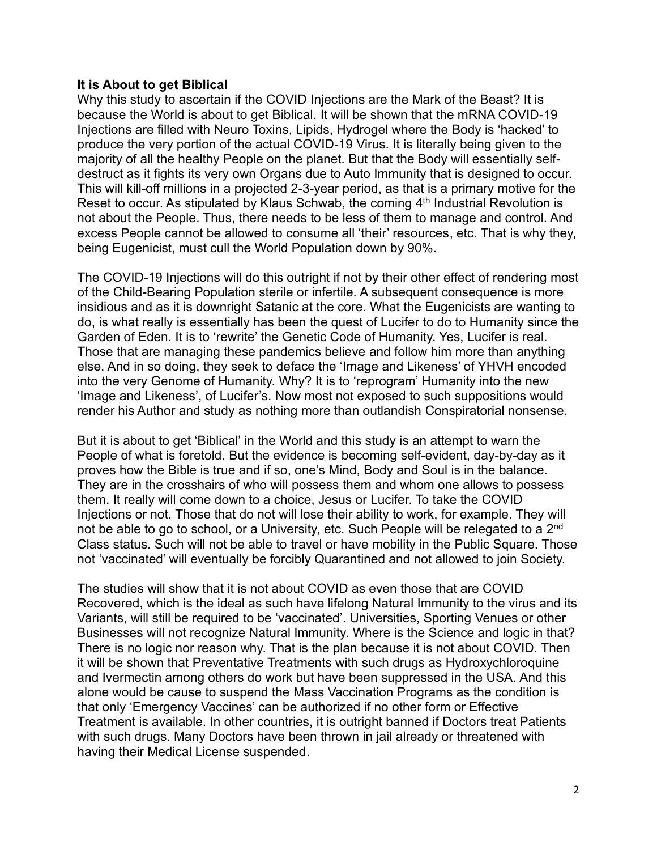## **It is About to get Biblical**

Why this study to ascertain if the COVID Injections are the Mark of the Beast? It is because the World is about to get Biblical. It will be shown that the mRNA COVID-19 Injections are filled with Neuro Toxins, Lipids, Hydrogel where the Body is 'hacked' to produce the very portion of the actual COVID-19 Virus. It is literally being given to the majority of all the healthy People on the planet. But that the Body will essentially selfdestruct as it fights its very own Organs due to Auto Immunity that is designed to occur. This will kill-off millions in a projected 2-3-year period, as that is a primary motive for the Reset to occur. As stipulated by Klaus Schwab, the coming 4<sup>th</sup> Industrial Revolution is not about the People. Thus, there needs to be less of them to manage and control. And excess People cannot be allowed to consume all 'their' resources, etc. That is why they, being Eugenicist, must cull the World Population down by 90%.

The COVID-19 Injections will do this outright if not by their other effect of rendering most of the Child-Bearing Population sterile or infertile. A subsequent consequence is more insidious and as it is downright Satanic at the core. What the Eugenicists are wanting to do, is what really is essentially has been the quest of Lucifer to do to Humanity since the Garden of Eden. It is to 'rewrite' the Genetic Code of Humanity. Yes, Lucifer is real. Those that are managing these pandemics believe and follow him more than anything else. And in so doing, they seek to deface the 'Image and Likeness' of YHVH encoded into the very Genome of Humanity. Why? It is to 'reprogram' Humanity into the new 'Image and Likeness', of Lucifer's. Now most not exposed to such suppositions would render his Author and study as nothing more than outlandish Conspiratorial nonsense.

But it is about to get 'Biblical' in the World and this study is an attempt to warn the People of what is foretold. But the evidence is becoming self-evident, day-by-day as it proves how the Bible is true and if so, one's Mind, Body and Soul is in the balance. They are in the crosshairs of who will possess them and whom one allows to possess them. It really will come down to a choice, Jesus or Lucifer. To take the COVID Injections or not. Those that do not will lose their ability to work, for example. They will not be able to go to school, or a University, etc. Such People will be relegated to a 2<sup>nd</sup> Class status. Such will not be able to travel or have mobility in the Public Square. Those not 'vaccinated' will eventually be forcibly Quarantined and not allowed to join Society.

The studies will show that it is not about COVID as even those that are COVID Recovered, which is the ideal as such have lifelong Natural Immunity to the virus and its Variants, will still be required to be 'vaccinated'. Universities, Sporting Venues or other Businesses will not recognize Natural Immunity. Where is the Science and logic in that? There is no logic nor reason why. That is the plan because it is not about COVID. Then it will be shown that Preventative Treatments with such drugs as Hydroxychloroquine and Ivermectin among others do work but have been suppressed in the USA. And this alone would be cause to suspend the Mass Vaccination Programs as the condition is that only 'Emergency Vaccines' can be authorized if no other form or Effective Treatment is available. In other countries, it is outright banned if Doctors treat Patients with such drugs. Many Doctors have been thrown in jail already or threatened with having their Medical License suspended.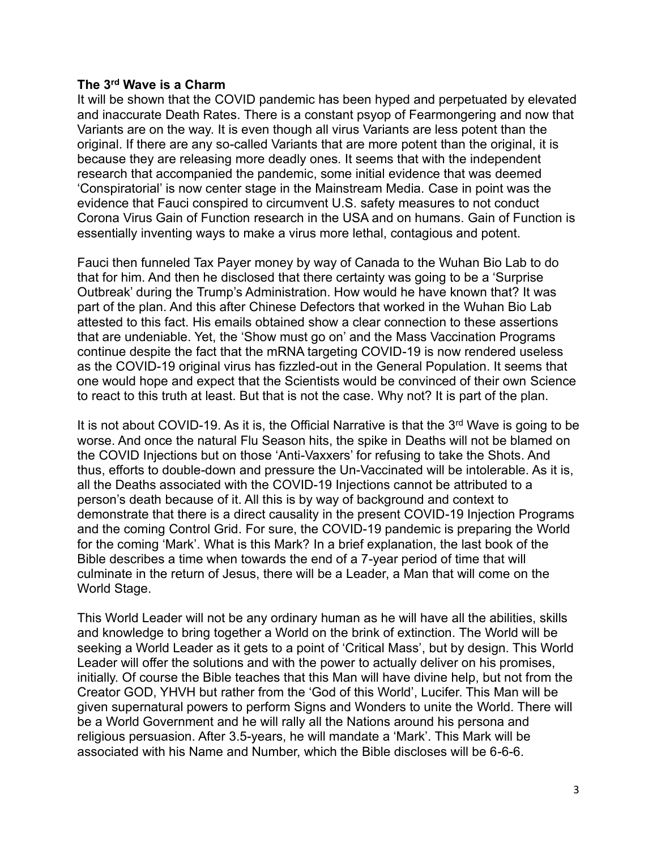#### **The 3rd Wave is a Charm**

It will be shown that the COVID pandemic has been hyped and perpetuated by elevated and inaccurate Death Rates. There is a constant psyop of Fearmongering and now that Variants are on the way. It is even though all virus Variants are less potent than the original. If there are any so-called Variants that are more potent than the original, it is because they are releasing more deadly ones. It seems that with the independent research that accompanied the pandemic, some initial evidence that was deemed 'Conspiratorial' is now center stage in the Mainstream Media. Case in point was the evidence that Fauci conspired to circumvent U.S. safety measures to not conduct Corona Virus Gain of Function research in the USA and on humans. Gain of Function is essentially inventing ways to make a virus more lethal, contagious and potent.

Fauci then funneled Tax Payer money by way of Canada to the Wuhan Bio Lab to do that for him. And then he disclosed that there certainty was going to be a 'Surprise Outbreak' during the Trump's Administration. How would he have known that? It was part of the plan. And this after Chinese Defectors that worked in the Wuhan Bio Lab attested to this fact. His emails obtained show a clear connection to these assertions that are undeniable. Yet, the 'Show must go on' and the Mass Vaccination Programs continue despite the fact that the mRNA targeting COVID-19 is now rendered useless as the COVID-19 original virus has fizzled-out in the General Population. It seems that one would hope and expect that the Scientists would be convinced of their own Science to react to this truth at least. But that is not the case. Why not? It is part of the plan.

It is not about COVID-19. As it is, the Official Narrative is that the  $3<sup>rd</sup>$  Wave is going to be worse. And once the natural Flu Season hits, the spike in Deaths will not be blamed on the COVID Injections but on those 'Anti-Vaxxers' for refusing to take the Shots. And thus, efforts to double-down and pressure the Un-Vaccinated will be intolerable. As it is, all the Deaths associated with the COVID-19 Injections cannot be attributed to a person's death because of it. All this is by way of background and context to demonstrate that there is a direct causality in the present COVID-19 Injection Programs and the coming Control Grid. For sure, the COVID-19 pandemic is preparing the World for the coming 'Mark'. What is this Mark? In a brief explanation, the last book of the Bible describes a time when towards the end of a 7-year period of time that will culminate in the return of Jesus, there will be a Leader, a Man that will come on the World Stage.

This World Leader will not be any ordinary human as he will have all the abilities, skills and knowledge to bring together a World on the brink of extinction. The World will be seeking a World Leader as it gets to a point of 'Critical Mass', but by design. This World Leader will offer the solutions and with the power to actually deliver on his promises, initially. Of course the Bible teaches that this Man will have divine help, but not from the Creator GOD, YHVH but rather from the 'God of this World', Lucifer. This Man will be given supernatural powers to perform Signs and Wonders to unite the World. There will be a World Government and he will rally all the Nations around his persona and religious persuasion. After 3.5-years, he will mandate a 'Mark'. This Mark will be associated with his Name and Number, which the Bible discloses will be 6-6-6.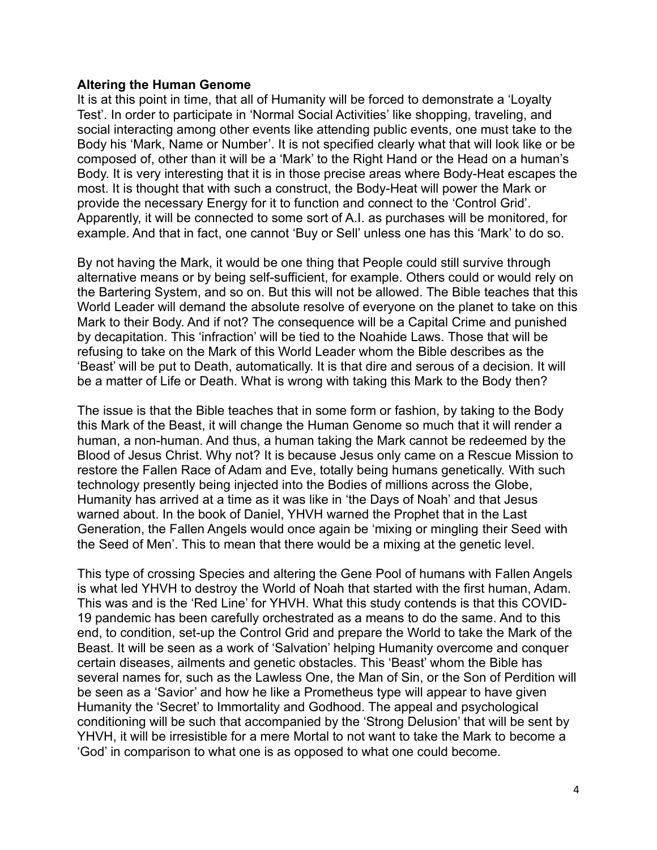#### **Altering the Human Genome**

It is at this point in time, that all of Humanity will be forced to demonstrate a 'Loyalty Test'. In order to participate in 'Normal Social Activities' like shopping, traveling, and social interacting among other events like attending public events, one must take to the Body his 'Mark, Name or Number'. It is not specified clearly what that will look like or be composed of, other than it will be a 'Mark' to the Right Hand or the Head on a human's Body. It is very interesting that it is in those precise areas where Body-Heat escapes the most. It is thought that with such a construct, the Body-Heat will power the Mark or provide the necessary Energy for it to function and connect to the 'Control Grid'. Apparently, it will be connected to some sort of A.I. as purchases will be monitored, for example. And that in fact, one cannot 'Buy or Sell' unless one has this 'Mark' to do so.

By not having the Mark, it would be one thing that People could still survive through alternative means or by being self-sufficient, for example. Others could or would rely on the Bartering System, and so on. But this will not be allowed. The Bible teaches that this World Leader will demand the absolute resolve of everyone on the planet to take on this Mark to their Body. And if not? The consequence will be a Capital Crime and punished by decapitation. This 'infraction' will be tied to the Noahide Laws. Those that will be refusing to take on the Mark of this World Leader whom the Bible describes as the 'Beast' will be put to Death, automatically. It is that dire and serous of a decision. It will be a matter of Life or Death. What is wrong with taking this Mark to the Body then?

The issue is that the Bible teaches that in some form or fashion, by taking to the Body this Mark of the Beast, it will change the Human Genome so much that it will render a human, a non-human. And thus, a human taking the Mark cannot be redeemed by the Blood of Jesus Christ. Why not? It is because Jesus only came on a Rescue Mission to restore the Fallen Race of Adam and Eve, totally being humans genetically. With such technology presently being injected into the Bodies of millions across the Globe, Humanity has arrived at a time as it was like in 'the Days of Noah' and that Jesus warned about. In the book of Daniel, YHVH warned the Prophet that in the Last Generation, the Fallen Angels would once again be 'mixing or mingling their Seed with the Seed of Men'. This to mean that there would be a mixing at the genetic level.

This type of crossing Species and altering the Gene Pool of humans with Fallen Angels is what led YHVH to destroy the World of Noah that started with the first human, Adam. This was and is the 'Red Line' for YHVH. What this study contends is that this COVID-19 pandemic has been carefully orchestrated as a means to do the same. And to this end, to condition, set-up the Control Grid and prepare the World to take the Mark of the Beast. It will be seen as a work of 'Salvation' helping Humanity overcome and conquer certain diseases, ailments and genetic obstacles. This 'Beast' whom the Bible has several names for, such as the Lawless One, the Man of Sin, or the Son of Perdition will be seen as a 'Savior' and how he like a Prometheus type will appear to have given Humanity the 'Secret' to Immortality and Godhood. The appeal and psychological conditioning will be such that accompanied by the 'Strong Delusion' that will be sent by YHVH, it will be irresistible for a mere Mortal to not want to take the Mark to become a 'God' in comparison to what one is as opposed to what one could become.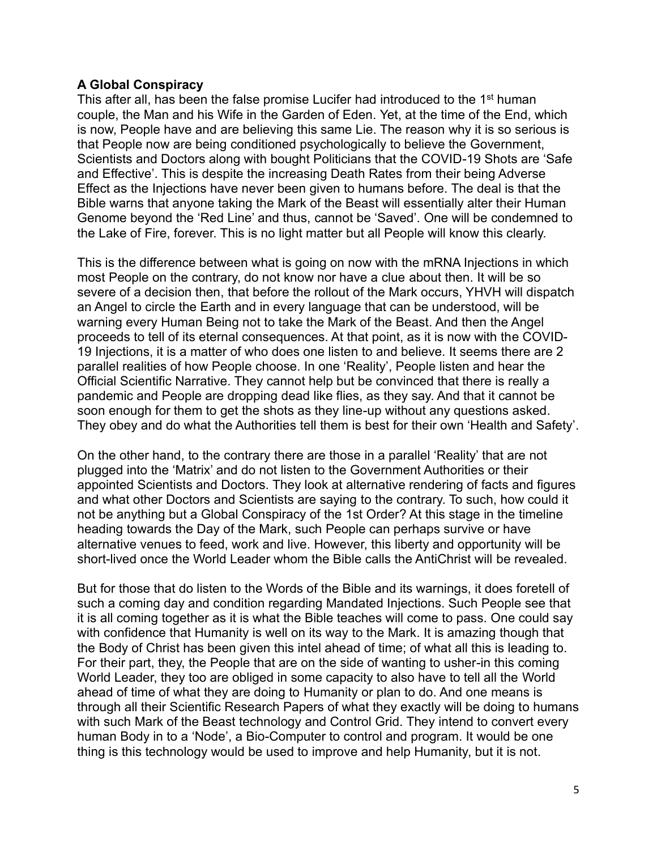## **A Global Conspiracy**

This after all, has been the false promise Lucifer had introduced to the 1<sup>st</sup> human couple, the Man and his Wife in the Garden of Eden. Yet, at the time of the End, which is now, People have and are believing this same Lie. The reason why it is so serious is that People now are being conditioned psychologically to believe the Government, Scientists and Doctors along with bought Politicians that the COVID-19 Shots are 'Safe and Effective'. This is despite the increasing Death Rates from their being Adverse Effect as the Injections have never been given to humans before. The deal is that the Bible warns that anyone taking the Mark of the Beast will essentially alter their Human Genome beyond the 'Red Line' and thus, cannot be 'Saved'. One will be condemned to the Lake of Fire, forever. This is no light matter but all People will know this clearly.

This is the difference between what is going on now with the mRNA Injections in which most People on the contrary, do not know nor have a clue about then. It will be so severe of a decision then, that before the rollout of the Mark occurs, YHVH will dispatch an Angel to circle the Earth and in every language that can be understood, will be warning every Human Being not to take the Mark of the Beast. And then the Angel proceeds to tell of its eternal consequences. At that point, as it is now with the COVID-19 Injections, it is a matter of who does one listen to and believe. It seems there are 2 parallel realities of how People choose. In one 'Reality', People listen and hear the Official Scientific Narrative. They cannot help but be convinced that there is really a pandemic and People are dropping dead like flies, as they say. And that it cannot be soon enough for them to get the shots as they line-up without any questions asked. They obey and do what the Authorities tell them is best for their own 'Health and Safety'.

On the other hand, to the contrary there are those in a parallel 'Reality' that are not plugged into the 'Matrix' and do not listen to the Government Authorities or their appointed Scientists and Doctors. They look at alternative rendering of facts and figures and what other Doctors and Scientists are saying to the contrary. To such, how could it not be anything but a Global Conspiracy of the 1st Order? At this stage in the timeline heading towards the Day of the Mark, such People can perhaps survive or have alternative venues to feed, work and live. However, this liberty and opportunity will be short-lived once the World Leader whom the Bible calls the AntiChrist will be revealed.

But for those that do listen to the Words of the Bible and its warnings, it does foretell of such a coming day and condition regarding Mandated Injections. Such People see that it is all coming together as it is what the Bible teaches will come to pass. One could say with confidence that Humanity is well on its way to the Mark. It is amazing though that the Body of Christ has been given this intel ahead of time; of what all this is leading to. For their part, they, the People that are on the side of wanting to usher-in this coming World Leader, they too are obliged in some capacity to also have to tell all the World ahead of time of what they are doing to Humanity or plan to do. And one means is through all their Scientific Research Papers of what they exactly will be doing to humans with such Mark of the Beast technology and Control Grid. They intend to convert every human Body in to a 'Node', a Bio-Computer to control and program. It would be one thing is this technology would be used to improve and help Humanity, but it is not.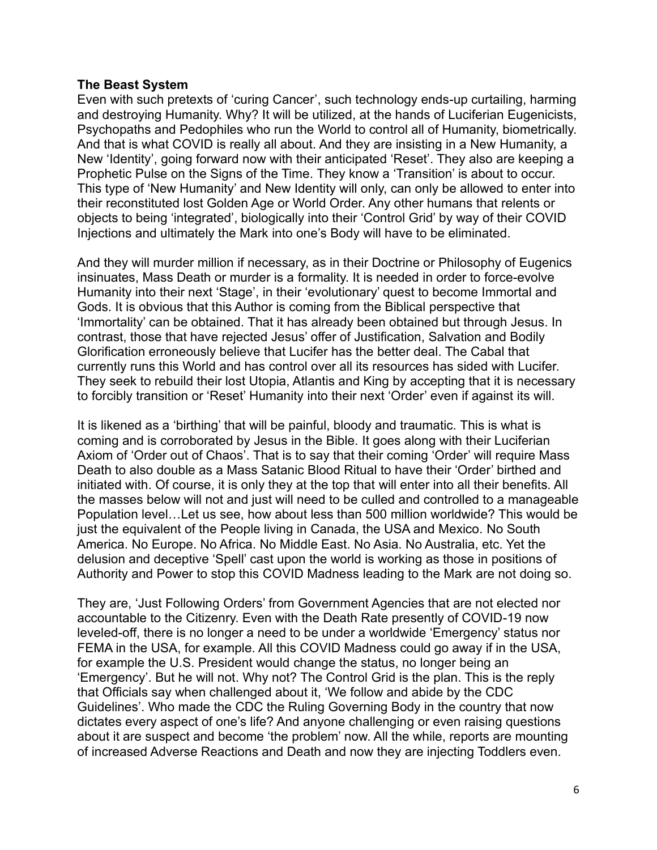#### **The Beast System**

Even with such pretexts of 'curing Cancer', such technology ends-up curtailing, harming and destroying Humanity. Why? It will be utilized, at the hands of Luciferian Eugenicists, Psychopaths and Pedophiles who run the World to control all of Humanity, biometrically. And that is what COVID is really all about. And they are insisting in a New Humanity, a New 'Identity', going forward now with their anticipated 'Reset'. They also are keeping a Prophetic Pulse on the Signs of the Time. They know a 'Transition' is about to occur. This type of 'New Humanity' and New Identity will only, can only be allowed to enter into their reconstituted lost Golden Age or World Order. Any other humans that relents or objects to being 'integrated', biologically into their 'Control Grid' by way of their COVID Injections and ultimately the Mark into one's Body will have to be eliminated.

And they will murder million if necessary, as in their Doctrine or Philosophy of Eugenics insinuates, Mass Death or murder is a formality. It is needed in order to force-evolve Humanity into their next 'Stage', in their 'evolutionary' quest to become Immortal and Gods. It is obvious that this Author is coming from the Biblical perspective that 'Immortality' can be obtained. That it has already been obtained but through Jesus. In contrast, those that have rejected Jesus' offer of Justification, Salvation and Bodily Glorification erroneously believe that Lucifer has the better deal. The Cabal that currently runs this World and has control over all its resources has sided with Lucifer. They seek to rebuild their lost Utopia, Atlantis and King by accepting that it is necessary to forcibly transition or 'Reset' Humanity into their next 'Order' even if against its will.

It is likened as a 'birthing' that will be painful, bloody and traumatic. This is what is coming and is corroborated by Jesus in the Bible. It goes along with their Luciferian Axiom of 'Order out of Chaos'. That is to say that their coming 'Order' will require Mass Death to also double as a Mass Satanic Blood Ritual to have their 'Order' birthed and initiated with. Of course, it is only they at the top that will enter into all their benefits. All the masses below will not and just will need to be culled and controlled to a manageable Population level…Let us see, how about less than 500 million worldwide? This would be just the equivalent of the People living in Canada, the USA and Mexico. No South America. No Europe. No Africa. No Middle East. No Asia. No Australia, etc. Yet the delusion and deceptive 'Spell' cast upon the world is working as those in positions of Authority and Power to stop this COVID Madness leading to the Mark are not doing so.

They are, 'Just Following Orders' from Government Agencies that are not elected nor accountable to the Citizenry. Even with the Death Rate presently of COVID-19 now leveled-off, there is no longer a need to be under a worldwide 'Emergency' status nor FEMA in the USA, for example. All this COVID Madness could go away if in the USA, for example the U.S. President would change the status, no longer being an 'Emergency'. But he will not. Why not? The Control Grid is the plan. This is the reply that Officials say when challenged about it, 'We follow and abide by the CDC Guidelines'. Who made the CDC the Ruling Governing Body in the country that now dictates every aspect of one's life? And anyone challenging or even raising questions about it are suspect and become 'the problem' now. All the while, reports are mounting of increased Adverse Reactions and Death and now they are injecting Toddlers even.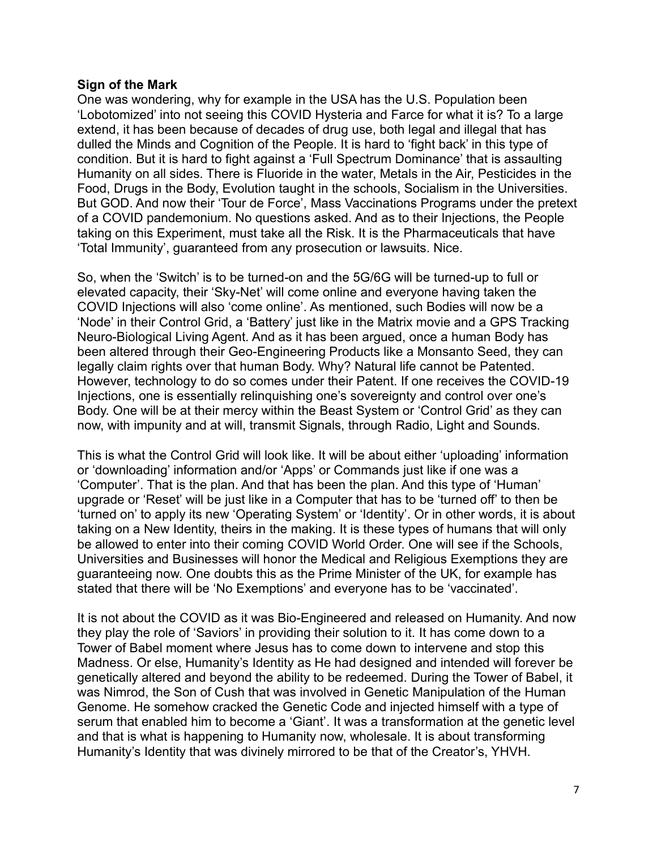## **Sign of the Mark**

One was wondering, why for example in the USA has the U.S. Population been 'Lobotomized' into not seeing this COVID Hysteria and Farce for what it is? To a large extend, it has been because of decades of drug use, both legal and illegal that has dulled the Minds and Cognition of the People. It is hard to 'fight back' in this type of condition. But it is hard to fight against a 'Full Spectrum Dominance' that is assaulting Humanity on all sides. There is Fluoride in the water, Metals in the Air, Pesticides in the Food, Drugs in the Body, Evolution taught in the schools, Socialism in the Universities. But GOD. And now their 'Tour de Force', Mass Vaccinations Programs under the pretext of a COVID pandemonium. No questions asked. And as to their Injections, the People taking on this Experiment, must take all the Risk. It is the Pharmaceuticals that have 'Total Immunity', guaranteed from any prosecution or lawsuits. Nice.

So, when the 'Switch' is to be turned-on and the 5G/6G will be turned-up to full or elevated capacity, their 'Sky-Net' will come online and everyone having taken the COVID Injections will also 'come online'. As mentioned, such Bodies will now be a 'Node' in their Control Grid, a 'Battery' just like in the Matrix movie and a GPS Tracking Neuro-Biological Living Agent. And as it has been argued, once a human Body has been altered through their Geo-Engineering Products like a Monsanto Seed, they can legally claim rights over that human Body. Why? Natural life cannot be Patented. However, technology to do so comes under their Patent. If one receives the COVID-19 Injections, one is essentially relinquishing one's sovereignty and control over one's Body. One will be at their mercy within the Beast System or 'Control Grid' as they can now, with impunity and at will, transmit Signals, through Radio, Light and Sounds.

This is what the Control Grid will look like. It will be about either 'uploading' information or 'downloading' information and/or 'Apps' or Commands just like if one was a 'Computer'. That is the plan. And that has been the plan. And this type of 'Human' upgrade or 'Reset' will be just like in a Computer that has to be 'turned off' to then be 'turned on' to apply its new 'Operating System' or 'Identity'. Or in other words, it is about taking on a New Identity, theirs in the making. It is these types of humans that will only be allowed to enter into their coming COVID World Order. One will see if the Schools, Universities and Businesses will honor the Medical and Religious Exemptions they are guaranteeing now. One doubts this as the Prime Minister of the UK, for example has stated that there will be 'No Exemptions' and everyone has to be 'vaccinated'.

It is not about the COVID as it was Bio-Engineered and released on Humanity. And now they play the role of 'Saviors' in providing their solution to it. It has come down to a Tower of Babel moment where Jesus has to come down to intervene and stop this Madness. Or else, Humanity's Identity as He had designed and intended will forever be genetically altered and beyond the ability to be redeemed. During the Tower of Babel, it was Nimrod, the Son of Cush that was involved in Genetic Manipulation of the Human Genome. He somehow cracked the Genetic Code and injected himself with a type of serum that enabled him to become a 'Giant'. It was a transformation at the genetic level and that is what is happening to Humanity now, wholesale. It is about transforming Humanity's Identity that was divinely mirrored to be that of the Creator's, YHVH.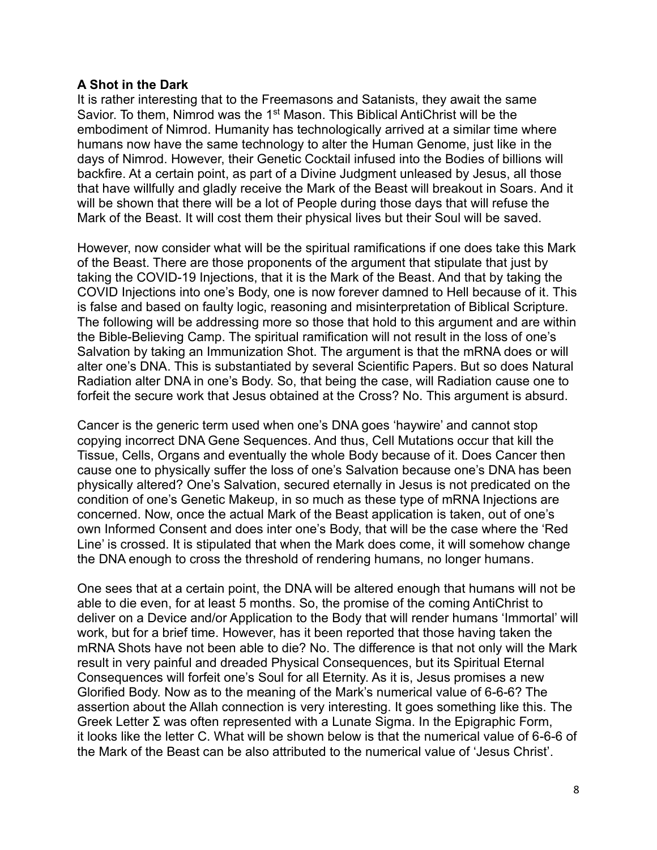## **A Shot in the Dark**

It is rather interesting that to the Freemasons and Satanists, they await the same Savior. To them, Nimrod was the 1<sup>st</sup> Mason. This Biblical AntiChrist will be the embodiment of Nimrod. Humanity has technologically arrived at a similar time where humans now have the same technology to alter the Human Genome, just like in the days of Nimrod. However, their Genetic Cocktail infused into the Bodies of billions will backfire. At a certain point, as part of a Divine Judgment unleased by Jesus, all those that have willfully and gladly receive the Mark of the Beast will breakout in Soars. And it will be shown that there will be a lot of People during those days that will refuse the Mark of the Beast. It will cost them their physical lives but their Soul will be saved.

However, now consider what will be the spiritual ramifications if one does take this Mark of the Beast. There are those proponents of the argument that stipulate that just by taking the COVID-19 Injections, that it is the Mark of the Beast. And that by taking the COVID Injections into one's Body, one is now forever damned to Hell because of it. This is false and based on faulty logic, reasoning and misinterpretation of Biblical Scripture. The following will be addressing more so those that hold to this argument and are within the Bible-Believing Camp. The spiritual ramification will not result in the loss of one's Salvation by taking an Immunization Shot. The argument is that the mRNA does or will alter one's DNA. This is substantiated by several Scientific Papers. But so does Natural Radiation alter DNA in one's Body. So, that being the case, will Radiation cause one to forfeit the secure work that Jesus obtained at the Cross? No. This argument is absurd.

Cancer is the generic term used when one's DNA goes 'haywire' and cannot stop copying incorrect DNA Gene Sequences. And thus, Cell Mutations occur that kill the Tissue, Cells, Organs and eventually the whole Body because of it. Does Cancer then cause one to physically suffer the loss of one's Salvation because one's DNA has been physically altered? One's Salvation, secured eternally in Jesus is not predicated on the condition of one's Genetic Makeup, in so much as these type of mRNA Injections are concerned. Now, once the actual Mark of the Beast application is taken, out of one's own Informed Consent and does inter one's Body, that will be the case where the 'Red Line' is crossed. It is stipulated that when the Mark does come, it will somehow change the DNA enough to cross the threshold of rendering humans, no longer humans.

One sees that at a certain point, the DNA will be altered enough that humans will not be able to die even, for at least 5 months. So, the promise of the coming AntiChrist to deliver on a Device and/or Application to the Body that will render humans 'Immortal' will work, but for a brief time. However, has it been reported that those having taken the mRNA Shots have not been able to die? No. The difference is that not only will the Mark result in very painful and dreaded Physical Consequences, but its Spiritual Eternal Consequences will forfeit one's Soul for all Eternity. As it is, Jesus promises a new Glorified Body. Now as to the meaning of the Mark's numerical value of 6-6-6? The assertion about the Allah connection is very interesting. It goes something like this. The Greek Letter Σ was often represented with a Lunate Sigma. In the Epigraphic Form, it looks like the letter C. What will be shown below is that the numerical value of 6-6-6 of the Mark of the Beast can be also attributed to the numerical value of 'Jesus Christ'.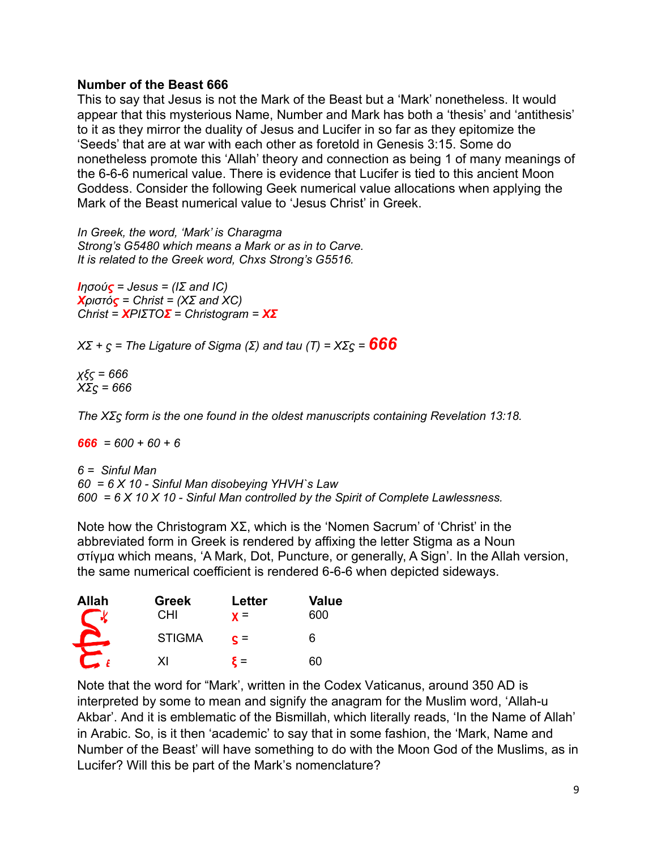## **Number of the Beast 666**

This to say that Jesus is not the Mark of the Beast but a 'Mark' nonetheless. It would appear that this mysterious Name, Number and Mark has both a 'thesis' and 'antithesis' to it as they mirror the duality of Jesus and Lucifer in so far as they epitomize the 'Seeds' that are at war with each other as foretold in Genesis 3:15. Some do nonetheless promote this 'Allah' theory and connection as being 1 of many meanings of the 6-6-6 numerical value. There is evidence that Lucifer is tied to this ancient Moon Goddess. Consider the following Geek numerical value allocations when applying the Mark of the Beast numerical value to 'Jesus Christ' in Greek.

*In Greek, the word, 'Mark' is Charagma Strong's G5480 which means a Mark or as in to Carve. It is related to the Greek word, Chxs Strong's G5516.*

*Ιησούς = Jesus = (IΣ and IC) Χριστός = Christ = (ΧΣ and ΧC) Christ = ΧΡΙΣΤΟΣ = Christogram = ΧΣ*

*ΧΣ + ϛ = The Ligature of Sigma (Σ) and tau (Τ) = ΧΣϛ <sup>=</sup>666*

*χξς = 666 ΧΣϛ = 666* 

*The ΧΣϛ form is the one found in the oldest manuscripts containing Revelation 13:18.*

*666 = 600 + 60 + 6* 

*6 = Sinful Man 60 = 6 X 10 - Sinful Man disobeying YHVH`s Law 600 = 6 X 10 X 10 - Sinful Man controlled by the Spirit of Complete Lawlessness.* 

Note how the Christogram  $X\Sigma$ , which is the 'Nomen Sacrum' of 'Christ' in the abbreviated form in Greek is rendered by affixing the letter Stigma as a Noun στίγμα which means, 'A Mark, Dot, Puncture, or generally, A Sign'. In the Allah version, the same numerical coefficient is rendered 6-6-6 when depicted sideways.

| <b>Allah</b> | <b>Greek</b><br>СHІ | Letter<br>$\mathbf{v} =$ | <b>Value</b><br>600 |
|--------------|---------------------|--------------------------|---------------------|
|              | <b>STIGMA</b>       | $c =$                    | h                   |
|              | x١                  | $=$                      | 60                  |

Note that the word for "Mark', written in the Codex Vaticanus, around 350 AD is interpreted by some to mean and signify the anagram for the Muslim word, 'Allah-u Akbar'. And it is emblematic of the Bismillah, which literally reads, 'In the Name of Allah' in Arabic. So, is it then 'academic' to say that in some fashion, the 'Mark, Name and Number of the Beast' will have something to do with the Moon God of the Muslims, as in Lucifer? Will this be part of the Mark's nomenclature?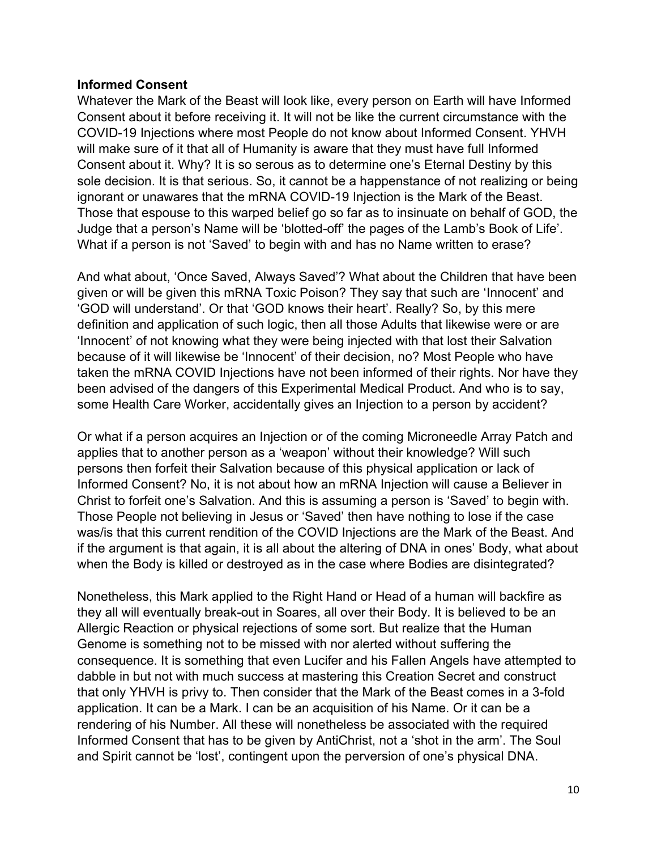## **Informed Consent**

Whatever the Mark of the Beast will look like, every person on Earth will have Informed Consent about it before receiving it. It will not be like the current circumstance with the COVID-19 Injections where most People do not know about Informed Consent. YHVH will make sure of it that all of Humanity is aware that they must have full Informed Consent about it. Why? It is so serous as to determine one's Eternal Destiny by this sole decision. It is that serious. So, it cannot be a happenstance of not realizing or being ignorant or unawares that the mRNA COVID-19 Injection is the Mark of the Beast. Those that espouse to this warped belief go so far as to insinuate on behalf of GOD, the Judge that a person's Name will be 'blotted-off' the pages of the Lamb's Book of Life'. What if a person is not 'Saved' to begin with and has no Name written to erase?

And what about, 'Once Saved, Always Saved'? What about the Children that have been given or will be given this mRNA Toxic Poison? They say that such are 'Innocent' and 'GOD will understand'. Or that 'GOD knows their heart'. Really? So, by this mere definition and application of such logic, then all those Adults that likewise were or are 'Innocent' of not knowing what they were being injected with that lost their Salvation because of it will likewise be 'Innocent' of their decision, no? Most People who have taken the mRNA COVID Injections have not been informed of their rights. Nor have they been advised of the dangers of this Experimental Medical Product. And who is to say, some Health Care Worker, accidentally gives an Injection to a person by accident?

Or what if a person acquires an Injection or of the coming Microneedle Array Patch and applies that to another person as a 'weapon' without their knowledge? Will such persons then forfeit their Salvation because of this physical application or lack of Informed Consent? No, it is not about how an mRNA Injection will cause a Believer in Christ to forfeit one's Salvation. And this is assuming a person is 'Saved' to begin with. Those People not believing in Jesus or 'Saved' then have nothing to lose if the case was/is that this current rendition of the COVID Injections are the Mark of the Beast. And if the argument is that again, it is all about the altering of DNA in ones' Body, what about when the Body is killed or destroyed as in the case where Bodies are disintegrated?

Nonetheless, this Mark applied to the Right Hand or Head of a human will backfire as they all will eventually break-out in Soares, all over their Body. It is believed to be an Allergic Reaction or physical rejections of some sort. But realize that the Human Genome is something not to be missed with nor alerted without suffering the consequence. It is something that even Lucifer and his Fallen Angels have attempted to dabble in but not with much success at mastering this Creation Secret and construct that only YHVH is privy to. Then consider that the Mark of the Beast comes in a 3-fold application. It can be a Mark. I can be an acquisition of his Name. Or it can be a rendering of his Number. All these will nonetheless be associated with the required Informed Consent that has to be given by AntiChrist, not a 'shot in the arm'. The Soul and Spirit cannot be 'lost', contingent upon the perversion of one's physical DNA.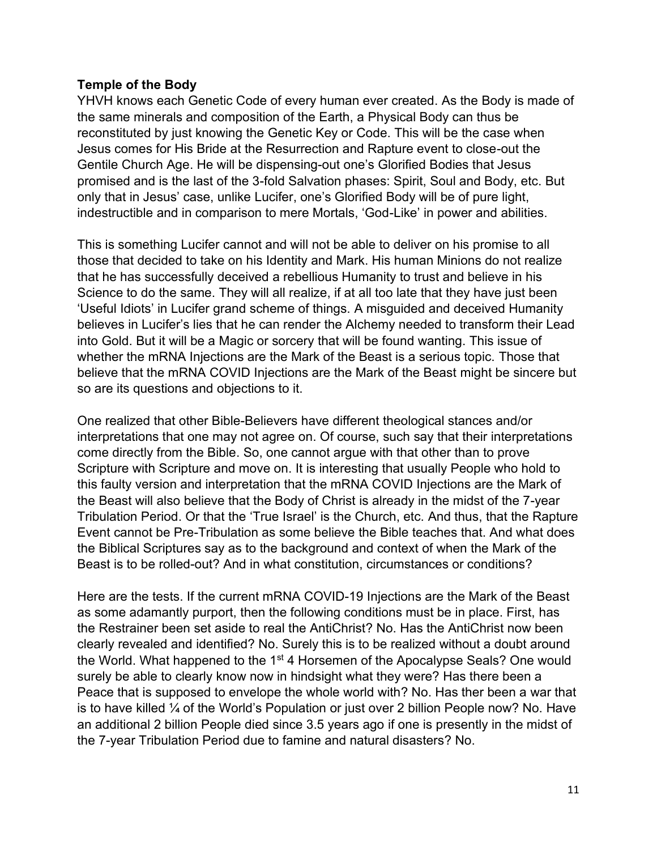## **Temple of the Body**

YHVH knows each Genetic Code of every human ever created. As the Body is made of the same minerals and composition of the Earth, a Physical Body can thus be reconstituted by just knowing the Genetic Key or Code. This will be the case when Jesus comes for His Bride at the Resurrection and Rapture event to close-out the Gentile Church Age. He will be dispensing-out one's Glorified Bodies that Jesus promised and is the last of the 3-fold Salvation phases: Spirit, Soul and Body, etc. But only that in Jesus' case, unlike Lucifer, one's Glorified Body will be of pure light, indestructible and in comparison to mere Mortals, 'God-Like' in power and abilities.

This is something Lucifer cannot and will not be able to deliver on his promise to all those that decided to take on his Identity and Mark. His human Minions do not realize that he has successfully deceived a rebellious Humanity to trust and believe in his Science to do the same. They will all realize, if at all too late that they have just been 'Useful Idiots' in Lucifer grand scheme of things. A misguided and deceived Humanity believes in Lucifer's lies that he can render the Alchemy needed to transform their Lead into Gold. But it will be a Magic or sorcery that will be found wanting. This issue of whether the mRNA Injections are the Mark of the Beast is a serious topic. Those that believe that the mRNA COVID Injections are the Mark of the Beast might be sincere but so are its questions and objections to it.

One realized that other Bible-Believers have different theological stances and/or interpretations that one may not agree on. Of course, such say that their interpretations come directly from the Bible. So, one cannot argue with that other than to prove Scripture with Scripture and move on. It is interesting that usually People who hold to this faulty version and interpretation that the mRNA COVID Injections are the Mark of the Beast will also believe that the Body of Christ is already in the midst of the 7-year Tribulation Period. Or that the 'True Israel' is the Church, etc. And thus, that the Rapture Event cannot be Pre-Tribulation as some believe the Bible teaches that. And what does the Biblical Scriptures say as to the background and context of when the Mark of the Beast is to be rolled-out? And in what constitution, circumstances or conditions?

Here are the tests. If the current mRNA COVID-19 Injections are the Mark of the Beast as some adamantly purport, then the following conditions must be in place. First, has the Restrainer been set aside to real the AntiChrist? No. Has the AntiChrist now been clearly revealed and identified? No. Surely this is to be realized without a doubt around the World. What happened to the 1<sup>st</sup> 4 Horsemen of the Apocalypse Seals? One would surely be able to clearly know now in hindsight what they were? Has there been a Peace that is supposed to envelope the whole world with? No. Has ther been a war that is to have killed  $\frac{1}{4}$  of the World's Population or just over 2 billion People now? No. Have an additional 2 billion People died since 3.5 years ago if one is presently in the midst of the 7-year Tribulation Period due to famine and natural disasters? No.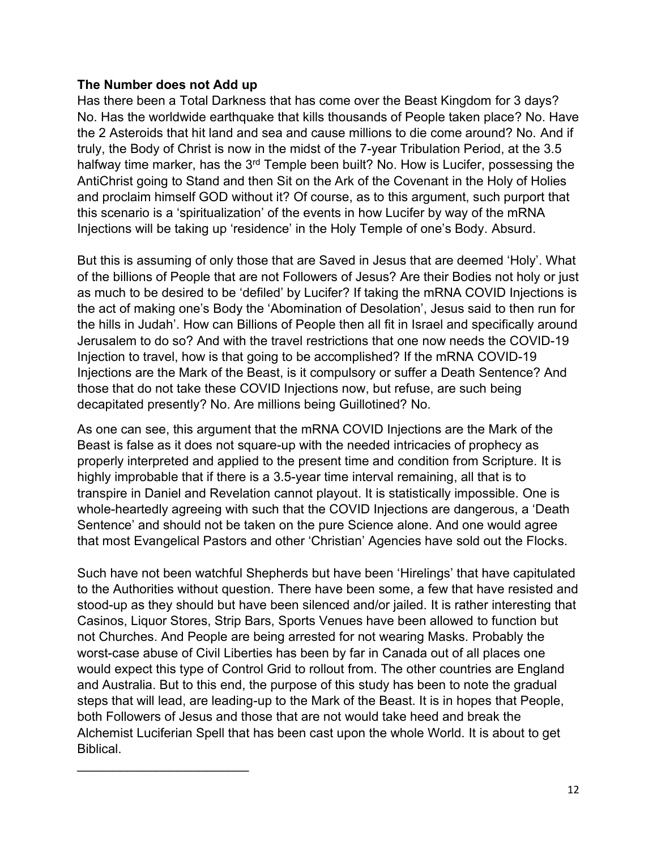# **The Number does not Add up**

 $\mathcal{L}_\text{max}$  , where  $\mathcal{L}_\text{max}$  , we have the set of the set of the set of the set of the set of the set of the set of the set of the set of the set of the set of the set of the set of the set of the set of the set of

Has there been a Total Darkness that has come over the Beast Kingdom for 3 days? No. Has the worldwide earthquake that kills thousands of People taken place? No. Have the 2 Asteroids that hit land and sea and cause millions to die come around? No. And if truly, the Body of Christ is now in the midst of the 7-year Tribulation Period, at the 3.5 halfway time marker, has the 3<sup>rd</sup> Temple been built? No. How is Lucifer, possessing the AntiChrist going to Stand and then Sit on the Ark of the Covenant in the Holy of Holies and proclaim himself GOD without it? Of course, as to this argument, such purport that this scenario is a 'spiritualization' of the events in how Lucifer by way of the mRNA Injections will be taking up 'residence' in the Holy Temple of one's Body. Absurd.

But this is assuming of only those that are Saved in Jesus that are deemed 'Holy'. What of the billions of People that are not Followers of Jesus? Are their Bodies not holy or just as much to be desired to be 'defiled' by Lucifer? If taking the mRNA COVID Injections is the act of making one's Body the 'Abomination of Desolation', Jesus said to then run for the hills in Judah'. How can Billions of People then all fit in Israel and specifically around Jerusalem to do so? And with the travel restrictions that one now needs the COVID-19 Injection to travel, how is that going to be accomplished? If the mRNA COVID-19 Injections are the Mark of the Beast, is it compulsory or suffer a Death Sentence? And those that do not take these COVID Injections now, but refuse, are such being decapitated presently? No. Are millions being Guillotined? No.

As one can see, this argument that the mRNA COVID Injections are the Mark of the Beast is false as it does not square-up with the needed intricacies of prophecy as properly interpreted and applied to the present time and condition from Scripture. It is highly improbable that if there is a 3.5-year time interval remaining, all that is to transpire in Daniel and Revelation cannot playout. It is statistically impossible. One is whole-heartedly agreeing with such that the COVID Injections are dangerous, a 'Death Sentence' and should not be taken on the pure Science alone. And one would agree that most Evangelical Pastors and other 'Christian' Agencies have sold out the Flocks.

Such have not been watchful Shepherds but have been 'Hirelings' that have capitulated to the Authorities without question. There have been some, a few that have resisted and stood-up as they should but have been silenced and/or jailed. It is rather interesting that Casinos, Liquor Stores, Strip Bars, Sports Venues have been allowed to function but not Churches. And People are being arrested for not wearing Masks. Probably the worst-case abuse of Civil Liberties has been by far in Canada out of all places one would expect this type of Control Grid to rollout from. The other countries are England and Australia. But to this end, the purpose of this study has been to note the gradual steps that will lead, are leading-up to the Mark of the Beast. It is in hopes that People, both Followers of Jesus and those that are not would take heed and break the Alchemist Luciferian Spell that has been cast upon the whole World. It is about to get Biblical.